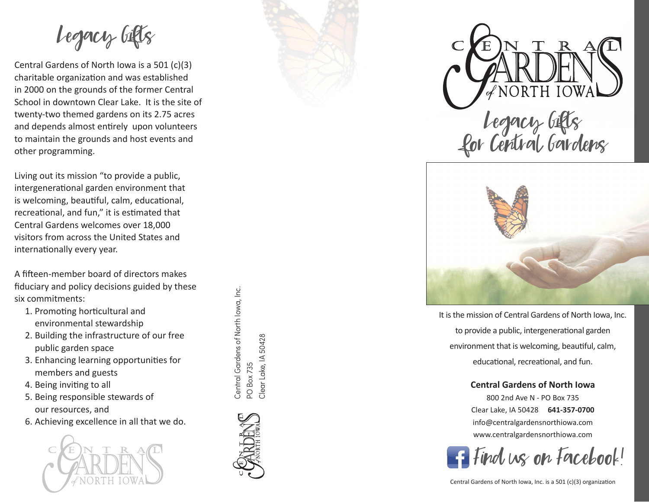Legacy Gifts

Central Gardens of North Iowa is a 501 (c)(3) charitable organization and was established in 2000 on the grounds of the former Central School in downtown Clear Lake. It is the site of twenty-two themed gardens on its 2.75 acres and depends almost entirely upon volunteers to maintain the grounds and host events and other programming.

Living out its mission "to provide a public, intergenerational garden environment that is welcoming, beautiful, calm, educational, recreational, and fun," it is estimated that Central Gardens welcomes over 18,000 visitors from across the United States and internationally every year.

A fifteen-member board of directors makes fiduciary and policy decisions guided by these six commitments:

- 1. Promoting horticultural and environmental stewardship
- 2. Building the infrastructure of our free public garden space
- 3. Enhancing learning opportunities for members and guests
- 4. Being inviting to all
- 5. Being responsible stewards of our resources, and
- 6. Achieving excellence in all that we do.



Central Gardens of North lowa, Inc. Central Gardens of North Iowa, Inc. Clear Lake, IA 50428 Clear Lake, IA 50428 PO Box 735 PO Box 735







It is the mission of Central Gardens of North Iowa, Inc. to provide a public, intergenerational garden environment that is welcoming, beautiful, calm, educational, recreational, and fun.

## **Central Gardens of North Iowa**

800 2nd Ave N - PO Box 735 Clear Lake, IA 50428 **641-357-0700** info@centralgardensnorthiowa.com www.centralgardensnorthiowa.com

Find us on Facebook!

Central Gardens of North Iowa, Inc. is a 501 (c)(3) organization